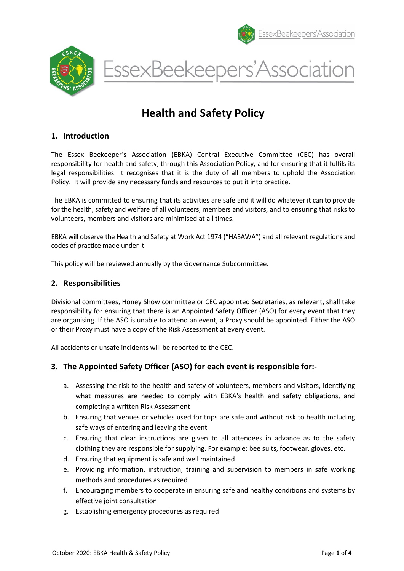





# Health and Safety Policy

## 1. Introduction

The Essex Beekeeper's Association (EBKA) Central Executive Committee (CEC) has overall responsibility for health and safety, through this Association Policy, and for ensuring that it fulfils its legal responsibilities. It recognises that it is the duty of all members to uphold the Association Policy. It will provide any necessary funds and resources to put it into practice.

The EBKA is committed to ensuring that its activities are safe and it will do whatever it can to provide for the health, safety and welfare of all volunteers, members and visitors, and to ensuring that risks to volunteers, members and visitors are minimised at all times.

EBKA will observe the Health and Safety at Work Act 1974 ("HASAWA") and all relevant regulations and codes of practice made under it.

This policy will be reviewed annually by the Governance Subcommittee.

#### 2. Responsibilities

Divisional committees, Honey Show committee or CEC appointed Secretaries, as relevant, shall take responsibility for ensuring that there is an Appointed Safety Officer (ASO) for every event that they are organising. If the ASO is unable to attend an event, a Proxy should be appointed. Either the ASO or their Proxy must have a copy of the Risk Assessment at every event.

All accidents or unsafe incidents will be reported to the CEC.

## 3. The Appointed Safety Officer (ASO) for each event is responsible for:-

- a. Assessing the risk to the health and safety of volunteers, members and visitors, identifying what measures are needed to comply with EBKA's health and safety obligations, and completing a written Risk Assessment
- b. Ensuring that venues or vehicles used for trips are safe and without risk to health including safe ways of entering and leaving the event
- c. Ensuring that clear instructions are given to all attendees in advance as to the safety clothing they are responsible for supplying. For example: bee suits, footwear, gloves, etc.
- d. Ensuring that equipment is safe and well maintained
- e. Providing information, instruction, training and supervision to members in safe working methods and procedures as required
- f. Encouraging members to cooperate in ensuring safe and healthy conditions and systems by effective joint consultation
- g. Establishing emergency procedures as required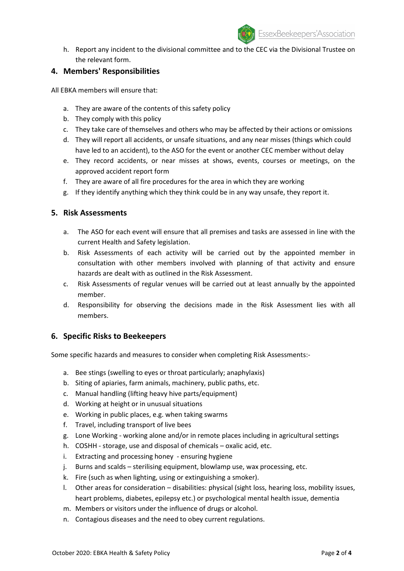

h. Report any incident to the divisional committee and to the CEC via the Divisional Trustee on the relevant form.

## 4. Members' Responsibilities

All EBKA members will ensure that:

- a. They are aware of the contents of this safety policy
- b. They comply with this policy
- c. They take care of themselves and others who may be affected by their actions or omissions
- d. They will report all accidents, or unsafe situations, and any near misses (things which could have led to an accident), to the ASO for the event or another CEC member without delay
- e. They record accidents, or near misses at shows, events, courses or meetings, on the approved accident report form
- f. They are aware of all fire procedures for the area in which they are working
- g. If they identify anything which they think could be in any way unsafe, they report it.

#### 5. Risk Assessments

- a. The ASO for each event will ensure that all premises and tasks are assessed in line with the current Health and Safety legislation.
- b. Risk Assessments of each activity will be carried out by the appointed member in consultation with other members involved with planning of that activity and ensure hazards are dealt with as outlined in the Risk Assessment.
- c. Risk Assessments of regular venues will be carried out at least annually by the appointed member.
- d. Responsibility for observing the decisions made in the Risk Assessment lies with all members.

#### 6. Specific Risks to Beekeepers

Some specific hazards and measures to consider when completing Risk Assessments:-

- a. Bee stings (swelling to eyes or throat particularly; anaphylaxis)
- b. Siting of apiaries, farm animals, machinery, public paths, etc.
- c. Manual handling (lifting heavy hive parts/equipment)
- d. Working at height or in unusual situations
- e. Working in public places, e.g. when taking swarms
- f. Travel, including transport of live bees
- g. Lone Working working alone and/or in remote places including in agricultural settings
- h. COSHH storage, use and disposal of chemicals oxalic acid, etc.
- i. Extracting and processing honey ensuring hygiene
- j. Burns and scalds sterilising equipment, blowlamp use, wax processing, etc.
- k. Fire (such as when lighting, using or extinguishing a smoker).
- l. Other areas for consideration disabilities: physical (sight loss, hearing loss, mobility issues, heart problems, diabetes, epilepsy etc.) or psychological mental health issue, dementia
- m. Members or visitors under the influence of drugs or alcohol.
- n. Contagious diseases and the need to obey current regulations.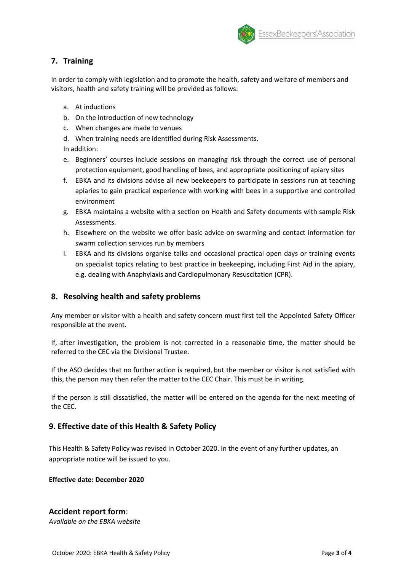

# 7. Training

In order to comply with legislation and to promote the health, safety and welfare of members and visitors, health and safety training will be provided as follows:

- a. At inductions
- b. On the introduction of new technology
- c. When changes are made to venues
- d. When training needs are identified during Risk Assessments.

In addition:

- e. Beginners' courses include sessions on managing risk through the correct use of personal protection equipment, good handling of bees, and appropriate positioning of apiary sites
- f. EBKA and its divisions advise all new beekeepers to participate in sessions run at teaching apiaries to gain practical experience with working with bees in a supportive and controlled environment
- g. EBKA maintains a website with a section on Health and Safety documents with sample Risk Assessments.
- h. Elsewhere on the website we offer basic advice on swarming and contact information for swarm collection services run by members
- i. EBKA and its divisions organise talks and occasional practical open days or training events on specialist topics relating to best practice in beekeeping, including First Aid in the apiary, e.g. dealing with Anaphylaxis and Cardiopulmonary Resuscitation (CPR).

## 8. Resolving health and safety problems

Any member or visitor with a health and safety concern must first tell the Appointed Safety Officer responsible at the event.

If, after investigation, the problem is not corrected in a reasonable time, the matter should be referred to the CEC via the Divisional Trustee.

If the ASO decides that no further action is required, but the member or visitor is not satisfied with this, the person may then refer the matter to the CEC Chair. This must be in writing.

If the person is still dissatisfied, the matter will be entered on the agenda for the next meeting of the CEC.

## 9. Effective date of this Health & Safety Policy

This Health & Safety Policy was revised in October 2020. In the event of any further updates, an appropriate notice will be issued to you.

Effective date: December 2020

# Accident report form:

Available on the EBKA website